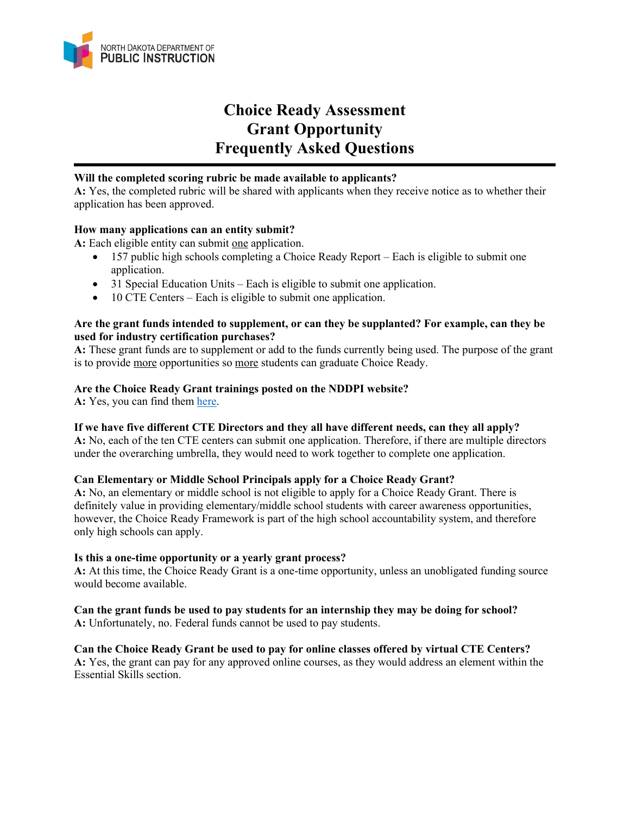

# **Choice Ready Assessment Grant Opportunity Frequently Asked Questions**

### **Will the completed scoring rubric be made available to applicants?**

**A:** Yes, the completed rubric will be shared with applicants when they receive notice as to whether their application has been approved.

# **How many applications can an entity submit?**

A: Each eligible entity can submit one application.

- 157 public high schools completing a Choice Ready Report Each is eligible to submit one application.
- 31 Special Education Units Each is eligible to submit one application.
- 10 CTE Centers Each is eligible to submit one application.

### **Are the grant funds intended to supplement, or can they be supplanted? For example, can they be used for industry certification purchases?**

**A:** These grant funds are to supplement or add to the funds currently being used. The purpose of the grant is to provide more opportunities so more students can graduate Choice Ready.

# **Are the Choice Ready Grant trainings posted on the NDDPI website?**

A: Yes, you can find them [here.](https://www.nd.gov/dpi/choice-ready-grant-opportunity)

#### **If we have five different CTE Directors and they all have different needs, can they all apply?**

**A:** No, each of the ten CTE centers can submit one application. Therefore, if there are multiple directors under the overarching umbrella, they would need to work together to complete one application.

#### **Can Elementary or Middle School Principals apply for a Choice Ready Grant?**

**A:** No, an elementary or middle school is not eligible to apply for a Choice Ready Grant. There is definitely value in providing elementary/middle school students with career awareness opportunities, however, the Choice Ready Framework is part of the high school accountability system, and therefore only high schools can apply.

#### **Is this a one-time opportunity or a yearly grant process?**

**A:** At this time, the Choice Ready Grant is a one-time opportunity, unless an unobligated funding source would become available.

**Can the grant funds be used to pay students for an internship they may be doing for school? A:** Unfortunately, no. Federal funds cannot be used to pay students.

#### **Can the Choice Ready Grant be used to pay for online classes offered by virtual CTE Centers? A:** Yes, the grant can pay for any approved online courses, as they would address an element within the Essential Skills section.